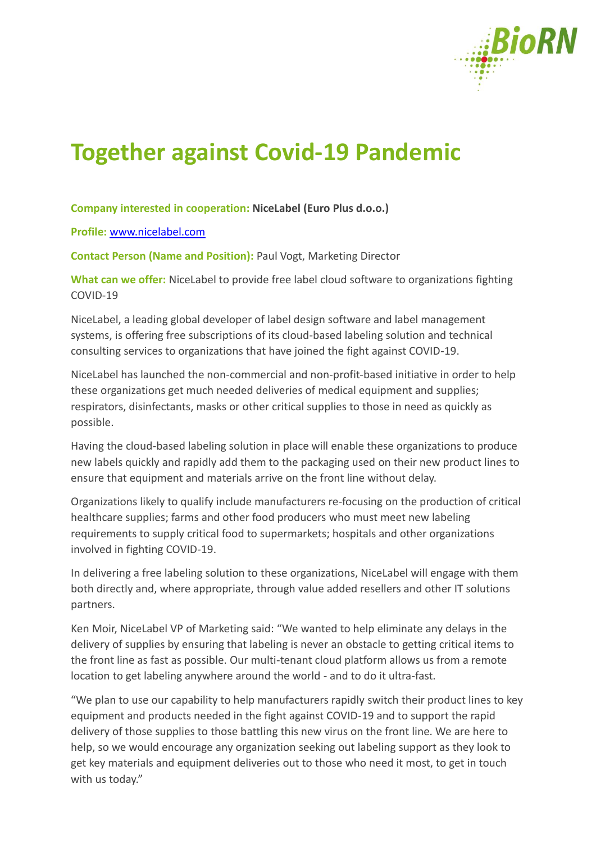

## **Together against Covid-19 Pandemic**

## **Company interested in cooperation: NiceLabel (Euro Plus d.o.o.)**

**Profile:** [www.nicelabel.com](http://www.nicelabel.com/)

**Contact Person (Name and Position):** Paul Vogt, Marketing Director

**What can we offer:** NiceLabel to provide free label cloud software to organizations fighting COVID-19

NiceLabel, a leading global developer of label design software and label management systems, is offering free subscriptions of its cloud-based labeling solution and technical consulting services to organizations that have joined the fight against COVID-19.

NiceLabel has launched the non-commercial and non-profit-based initiative in order to help these organizations get much needed deliveries of medical equipment and supplies; respirators, disinfectants, masks or other critical supplies to those in need as quickly as possible.

Having the cloud-based labeling solution in place will enable these organizations to produce new labels quickly and rapidly add them to the packaging used on their new product lines to ensure that equipment and materials arrive on the front line without delay.

Organizations likely to qualify include manufacturers re-focusing on the production of critical healthcare supplies; farms and other food producers who must meet new labeling requirements to supply critical food to supermarkets; hospitals and other organizations involved in fighting COVID-19.

In delivering a free labeling solution to these organizations, NiceLabel will engage with them both directly and, where appropriate, through value added resellers and other IT solutions partners.

Ken Moir, NiceLabel VP of Marketing said: "We wanted to help eliminate any delays in the delivery of supplies by ensuring that labeling is never an obstacle to getting critical items to the front line as fast as possible. Our multi-tenant cloud platform allows us from a remote location to get labeling anywhere around the world - and to do it ultra-fast.

"We plan to use our capability to help manufacturers rapidly switch their product lines to key equipment and products needed in the fight against COVID-19 and to support the rapid delivery of those supplies to those battling this new virus on the front line. We are here to help, so we would encourage any organization seeking out labeling support as they look to get key materials and equipment deliveries out to those who need it most, to get in touch with us today."